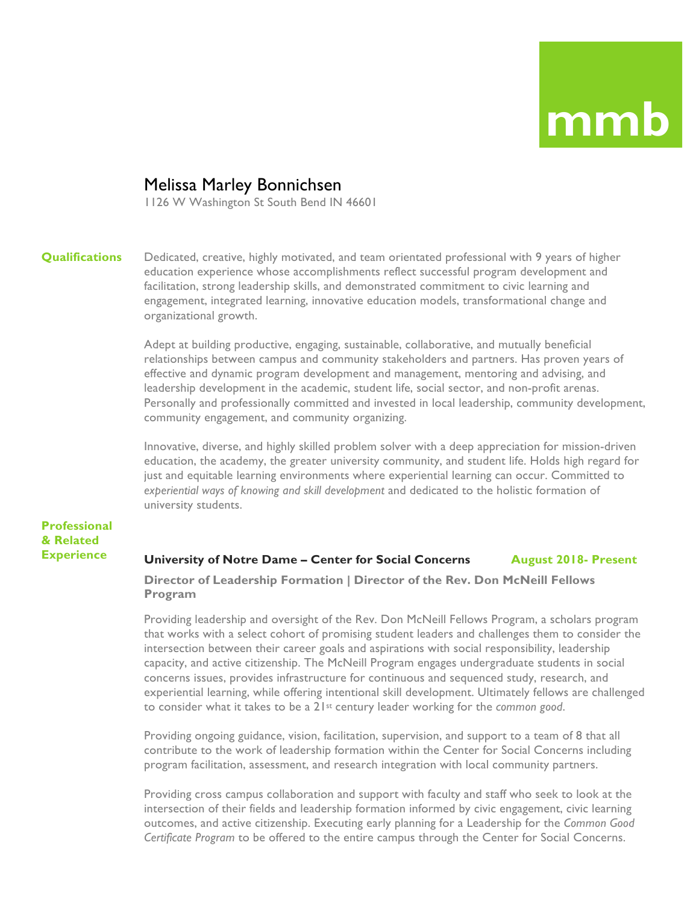### Melissa Marley Bonnichsen

1126 W Washington St South Bend IN 46601

#### **Qualifications**

Dedicated, creative, highly motivated, and team orientated professional with 9 years of higher education experience whose accomplishments reflect successful program development and facilitation, strong leadership skills, and demonstrated commitment to civic learning and engagement, integrated learning, innovative education models, transformational change and organizational growth.

Adept at building productive, engaging, sustainable, collaborative, and mutually beneficial relationships between campus and community stakeholders and partners. Has proven years of effective and dynamic program development and management, mentoring and advising, and leadership development in the academic, student life, social sector, and non-profit arenas. Personally and professionally committed and invested in local leadership, community development, community engagement, and community organizing.

Innovative, diverse, and highly skilled problem solver with a deep appreciation for mission-driven education, the academy, the greater university community, and student life. Holds high regard for just and equitable learning environments where experiential learning can occur. Committed to *experiential ways of knowing and skill development* and dedicated to the holistic formation of university students.

### **Professional & Related Experience**

#### **University of Notre Dame – Center for Social Concerns August 2018- Present**

**Director of Leadership Formation | Director of the Rev. Don McNeill Fellows Program**

Providing leadership and oversight of the Rev. Don McNeill Fellows Program, a scholars program that works with a select cohort of promising student leaders and challenges them to consider the intersection between their career goals and aspirations with social responsibility, leadership capacity, and active citizenship. The McNeill Program engages undergraduate students in social concerns issues, provides infrastructure for continuous and sequenced study, research, and experiential learning, while offering intentional skill development. Ultimately fellows are challenged to consider what it takes to be a 21st century leader working for the *common good*.

Providing ongoing guidance, vision, facilitation, supervision, and support to a team of 8 that all contribute to the work of leadership formation within the Center for Social Concerns including program facilitation, assessment, and research integration with local community partners.

Providing cross campus collaboration and support with faculty and staff who seek to look at the intersection of their fields and leadership formation informed by civic engagement, civic learning outcomes, and active citizenship. Executing early planning for a Leadership for the *Common Good Certificate Program* to be offered to the entire campus through the Center for Social Concerns.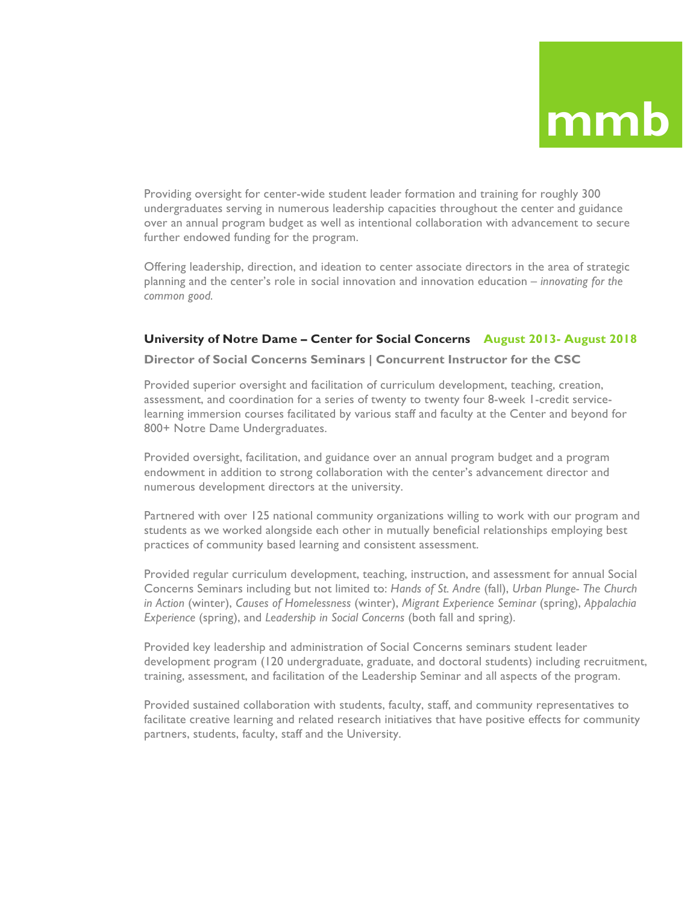Providing oversight for center-wide student leader formation and training for roughly 300 undergraduates serving in numerous leadership capacities throughout the center and guidance over an annual program budget as well as intentional collaboration with advancement to secure further endowed funding for the program.

Offering leadership, direction, and ideation to center associate directors in the area of strategic planning and the center's role in social innovation and innovation education – *innovating for the common good.*

### **University of Notre Dame – Center for Social Concerns August 2013- August 2018**

### **Director of Social Concerns Seminars | Concurrent Instructor for the CSC**

Provided superior oversight and facilitation of curriculum development, teaching, creation, assessment, and coordination for a series of twenty to twenty four 8-week 1-credit servicelearning immersion courses facilitated by various staff and faculty at the Center and beyond for 800+ Notre Dame Undergraduates.

Provided oversight, facilitation, and guidance over an annual program budget and a program endowment in addition to strong collaboration with the center's advancement director and numerous development directors at the university.

Partnered with over 125 national community organizations willing to work with our program and students as we worked alongside each other in mutually beneficial relationships employing best practices of community based learning and consistent assessment.

Provided regular curriculum development, teaching, instruction, and assessment for annual Social Concerns Seminars including but not limited to: *Hands of St. Andre* (fall), *Urban Plunge- The Church in Action* (winter), *Causes of Homelessness* (winter), *Migrant Experience Seminar* (spring), *Appalachia Experience* (spring), and *Leadership in Social Concerns* (both fall and spring).

Provided key leadership and administration of Social Concerns seminars student leader development program (120 undergraduate, graduate, and doctoral students) including recruitment, training, assessment, and facilitation of the Leadership Seminar and all aspects of the program.

Provided sustained collaboration with students, faculty, staff, and community representatives to facilitate creative learning and related research initiatives that have positive effects for community partners, students, faculty, staff and the University.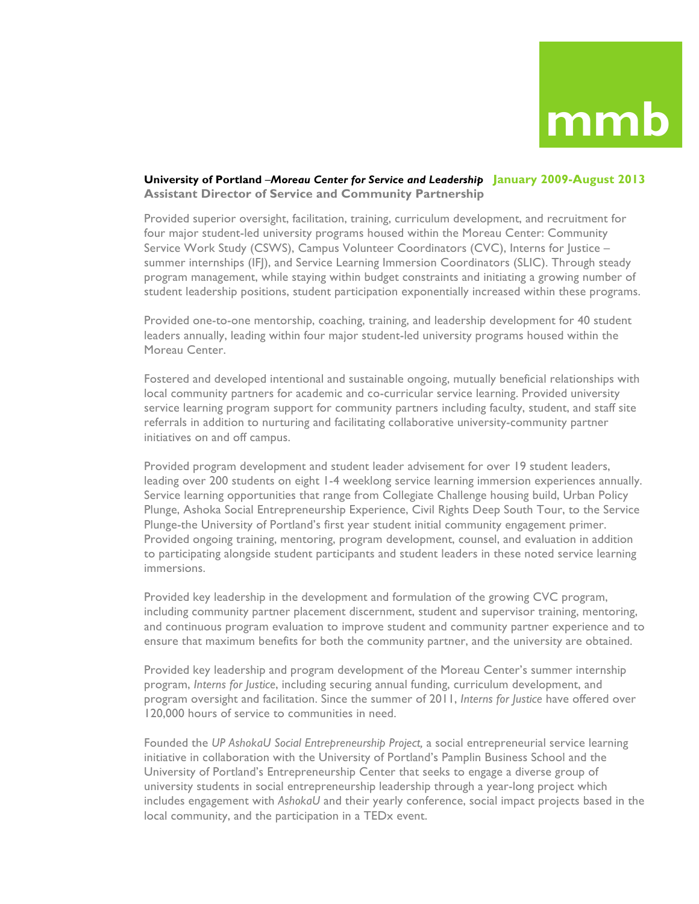### **University of Portland** –*Moreau Center for Service and Leadership* **January 2009-August 2013 Assistant Director of Service and Community Partnership**

Provided superior oversight, facilitation, training, curriculum development, and recruitment for four major student-led university programs housed within the Moreau Center: Community Service Work Study (CSWS), Campus Volunteer Coordinators (CVC), Interns for Justice summer internships (IFJ), and Service Learning Immersion Coordinators (SLIC). Through steady program management, while staying within budget constraints and initiating a growing number of student leadership positions, student participation exponentially increased within these programs.

Provided one-to-one mentorship, coaching, training, and leadership development for 40 student leaders annually, leading within four major student-led university programs housed within the Moreau Center.

Fostered and developed intentional and sustainable ongoing, mutually beneficial relationships with local community partners for academic and co-curricular service learning. Provided university service learning program support for community partners including faculty, student, and staff site referrals in addition to nurturing and facilitating collaborative university-community partner initiatives on and off campus.

Provided program development and student leader advisement for over 19 student leaders, leading over 200 students on eight 1-4 weeklong service learning immersion experiences annually. Service learning opportunities that range from Collegiate Challenge housing build, Urban Policy Plunge, Ashoka Social Entrepreneurship Experience, Civil Rights Deep South Tour, to the Service Plunge-the University of Portland's first year student initial community engagement primer. Provided ongoing training, mentoring, program development, counsel, and evaluation in addition to participating alongside student participants and student leaders in these noted service learning immersions.

Provided key leadership in the development and formulation of the growing CVC program, including community partner placement discernment, student and supervisor training, mentoring, and continuous program evaluation to improve student and community partner experience and to ensure that maximum benefits for both the community partner, and the university are obtained.

Provided key leadership and program development of the Moreau Center's summer internship program, *Interns for Justice*, including securing annual funding, curriculum development, and program oversight and facilitation. Since the summer of 2011, *Interns for Justice* have offered over 120,000 hours of service to communities in need.

Founded the *UP AshokaU Social Entrepreneurship Project,* a social entrepreneurial service learning initiative in collaboration with the University of Portland's Pamplin Business School and the University of Portland's Entrepreneurship Center that seeks to engage a diverse group of university students in social entrepreneurship leadership through a year-long project which includes engagement with *AshokaU* and their yearly conference, social impact projects based in the local community, and the participation in a TEDx event.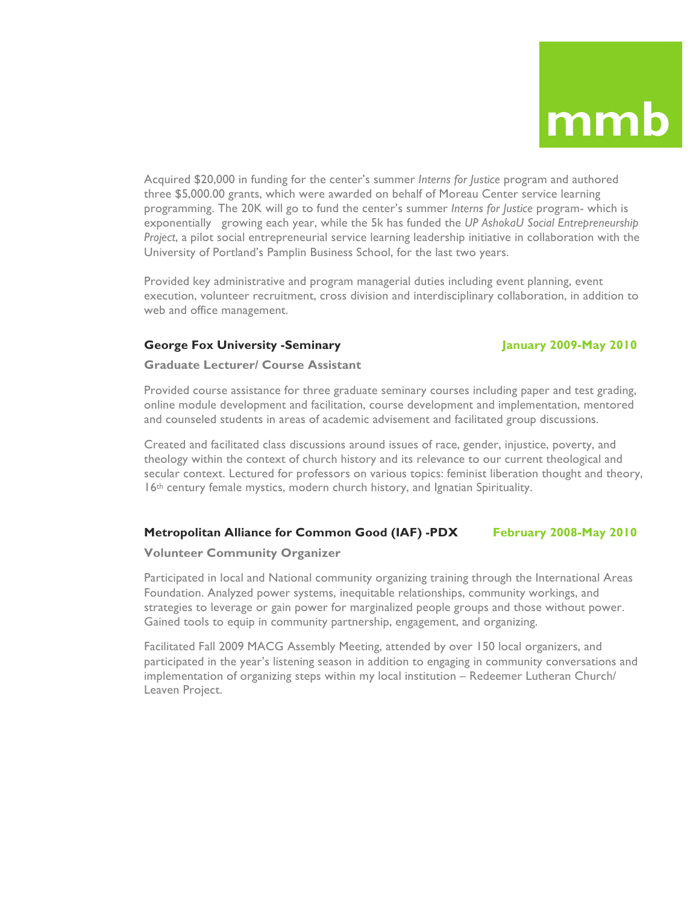Acquired \$20,000 in funding for the center's summer *Interns for Justice* program and authored three \$5,000.00 grants, which were awarded on behalf of Moreau Center service learning programming. The 20K will go to fund the center's summer *Interns for Justice* program- which is exponentially growing each year, while the 5k has funded the *UP AshokaU Social Entrepreneurship Project*, a pilot social entrepreneurial service learning leadership initiative in collaboration with the University of Portland's Pamplin Business School, for the last two years.

Provided key administrative and program managerial duties including event planning, event execution, volunteer recruitment, cross division and interdisciplinary collaboration, in addition to web and office management.

### **George Fox University -Seminary January 2009-May 2010**

### **Graduate Lecturer/ Course Assistant**

Provided course assistance for three graduate seminary courses including paper and test grading, online module development and facilitation, course development and implementation, mentored and counseled students in areas of academic advisement and facilitated group discussions.

Created and facilitated class discussions around issues of race, gender, injustice, poverty, and theology within the context of church history and its relevance to our current theological and secular context. Lectured for professors on various topics: feminist liberation thought and theory, 16th century female mystics, modern church history, and Ignatian Spirituality.

### **Metropolitan Alliance for Common Good (IAF) -PDX February 2008-May 2010**

### **Volunteer Community Organizer**

Participated in local and National community organizing training through the International Areas Foundation. Analyzed power systems, inequitable relationships, community workings, and strategies to leverage or gain power for marginalized people groups and those without power. Gained tools to equip in community partnership, engagement, and organizing.

Facilitated Fall 2009 MACG Assembly Meeting, attended by over 150 local organizers, and participated in the year's listening season in addition to engaging in community conversations and implementation of organizing steps within my local institution – Redeemer Lutheran Church/ Leaven Project.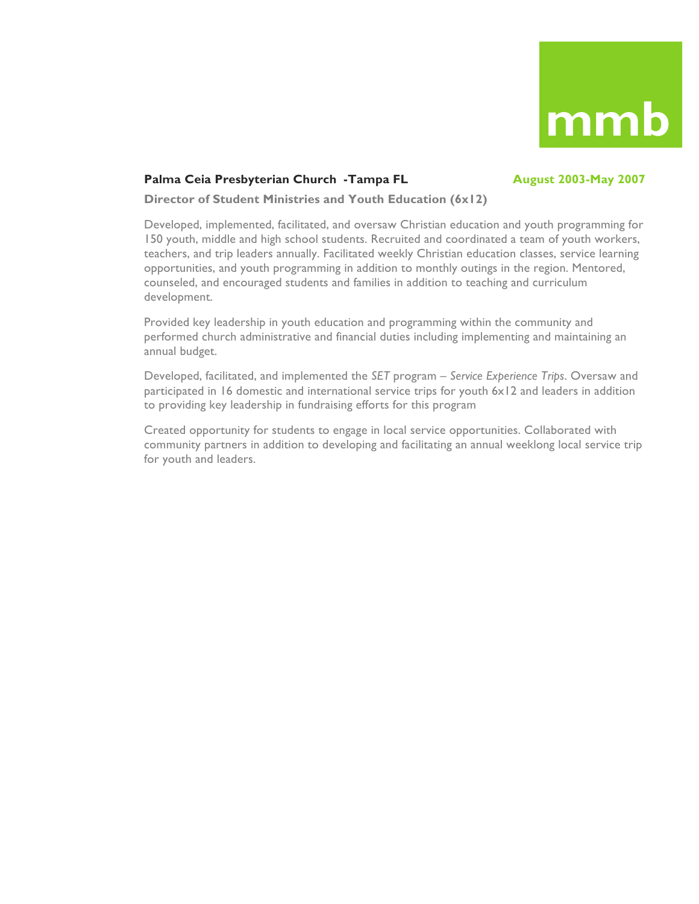

### Palma Ceia Presbyterian Church -Tampa FL **August 2003-May 2007**

**Director of Student Ministries and Youth Education (6x12)**

Developed, implemented, facilitated, and oversaw Christian education and youth programming for 150 youth, middle and high school students. Recruited and coordinated a team of youth workers, teachers, and trip leaders annually. Facilitated weekly Christian education classes, service learning opportunities, and youth programming in addition to monthly outings in the region. Mentored, counseled, and encouraged students and families in addition to teaching and curriculum development.

Provided key leadership in youth education and programming within the community and performed church administrative and financial duties including implementing and maintaining an annual budget.

Developed, facilitated, and implemented the *SET* program *– Service Experience Trips*. Oversaw and participated in 16 domestic and international service trips for youth 6x12 and leaders in addition to providing key leadership in fundraising efforts for this program

Created opportunity for students to engage in local service opportunities. Collaborated with community partners in addition to developing and facilitating an annual weeklong local service trip for youth and leaders.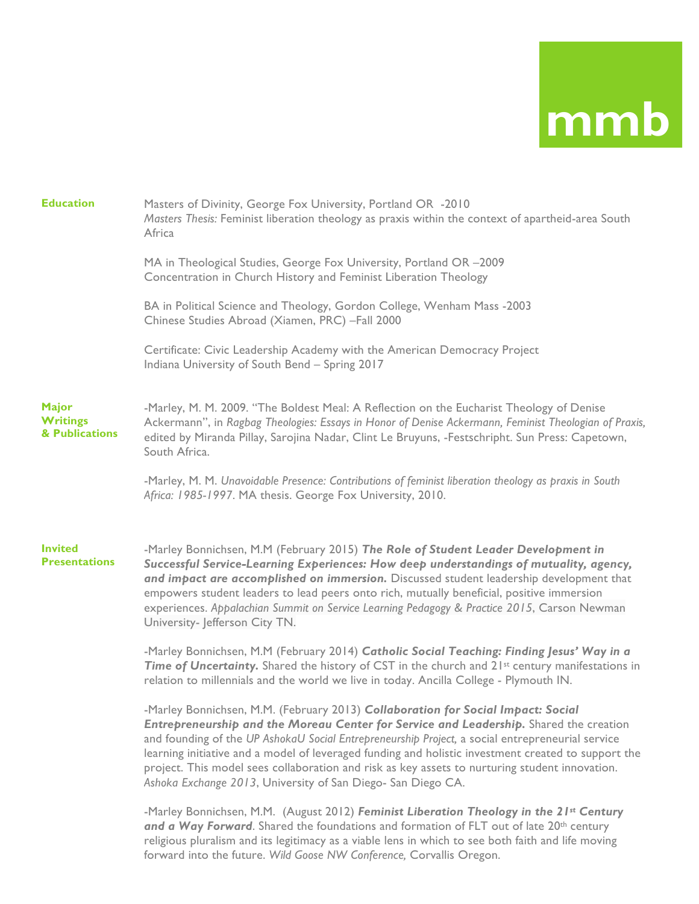| <b>Education</b>                                  | Masters of Divinity, George Fox University, Portland OR -2010<br>Masters Thesis: Feminist liberation theology as praxis within the context of apartheid-area South<br>Africa                                                                                                                                                                                                                                                                                                                                                                            |
|---------------------------------------------------|---------------------------------------------------------------------------------------------------------------------------------------------------------------------------------------------------------------------------------------------------------------------------------------------------------------------------------------------------------------------------------------------------------------------------------------------------------------------------------------------------------------------------------------------------------|
|                                                   | MA in Theological Studies, George Fox University, Portland OR -2009<br>Concentration in Church History and Feminist Liberation Theology                                                                                                                                                                                                                                                                                                                                                                                                                 |
|                                                   | BA in Political Science and Theology, Gordon College, Wenham Mass -2003<br>Chinese Studies Abroad (Xiamen, PRC) -Fall 2000                                                                                                                                                                                                                                                                                                                                                                                                                              |
|                                                   | Certificate: Civic Leadership Academy with the American Democracy Project<br>Indiana University of South Bend - Spring 2017                                                                                                                                                                                                                                                                                                                                                                                                                             |
| <b>Major</b><br><b>Writings</b><br>& Publications | -Marley, M. M. 2009. "The Boldest Meal: A Reflection on the Eucharist Theology of Denise<br>Ackermann", in Ragbag Theologies: Essays in Honor of Denise Ackermann, Feminist Theologian of Praxis,<br>edited by Miranda Pillay, Sarojina Nadar, Clint Le Bruyuns, -Festschripht. Sun Press: Capetown,<br>South Africa.                                                                                                                                                                                                                                   |
|                                                   | -Marley, M. M. Unavoidable Presence: Contributions of feminist liberation theology as praxis in South<br>Africa: 1985-1997. MA thesis. George Fox University, 2010.                                                                                                                                                                                                                                                                                                                                                                                     |
| <b>Invited</b><br><b>Presentations</b>            | -Marley Bonnichsen, M.M (February 2015) The Role of Student Leader Development in<br>Successful Service-Learning Experiences: How deep understandings of mutuality, agency,<br>and impact are accomplished on immersion. Discussed student leadership development that<br>empowers student leaders to lead peers onto rich, mutually beneficial, positive immersion<br>experiences. Appalachian Summit on Service Learning Pedagogy & Practice 2015, Carson Newman<br>University- Jefferson City TN.                                                    |
|                                                   | -Marley Bonnichsen, M.M (February 2014) Catholic Social Teaching: Finding Jesus' Way in a<br>Time of Uncertainty. Shared the history of CST in the church and 21st century manifestations in<br>relation to millennials and the world we live in today. Ancilla College - Plymouth IN.                                                                                                                                                                                                                                                                  |
|                                                   | -Marley Bonnichsen, M.M. (February 2013) Collaboration for Social Impact: Social<br>Entrepreneurship and the Moreau Center for Service and Leadership. Shared the creation<br>and founding of the UP AshokaU Social Entrepreneurship Project, a social entrepreneurial service<br>learning initiative and a model of leveraged funding and holistic investment created to support the<br>project. This model sees collaboration and risk as key assets to nurturing student innovation.<br>Ashoka Exchange 2013, University of San Diego- San Diego CA. |
|                                                   | -Marley Bonnichsen, M.M. (August 2012) Feminist Liberation Theology in the 21st Century<br>and a Way Forward. Shared the foundations and formation of FLT out of late 20th century<br>religious pluralism and its legitimacy as a viable lens in which to see both faith and life moving                                                                                                                                                                                                                                                                |

forward into the future. *Wild Goose NW Conference,* Corvallis Oregon.